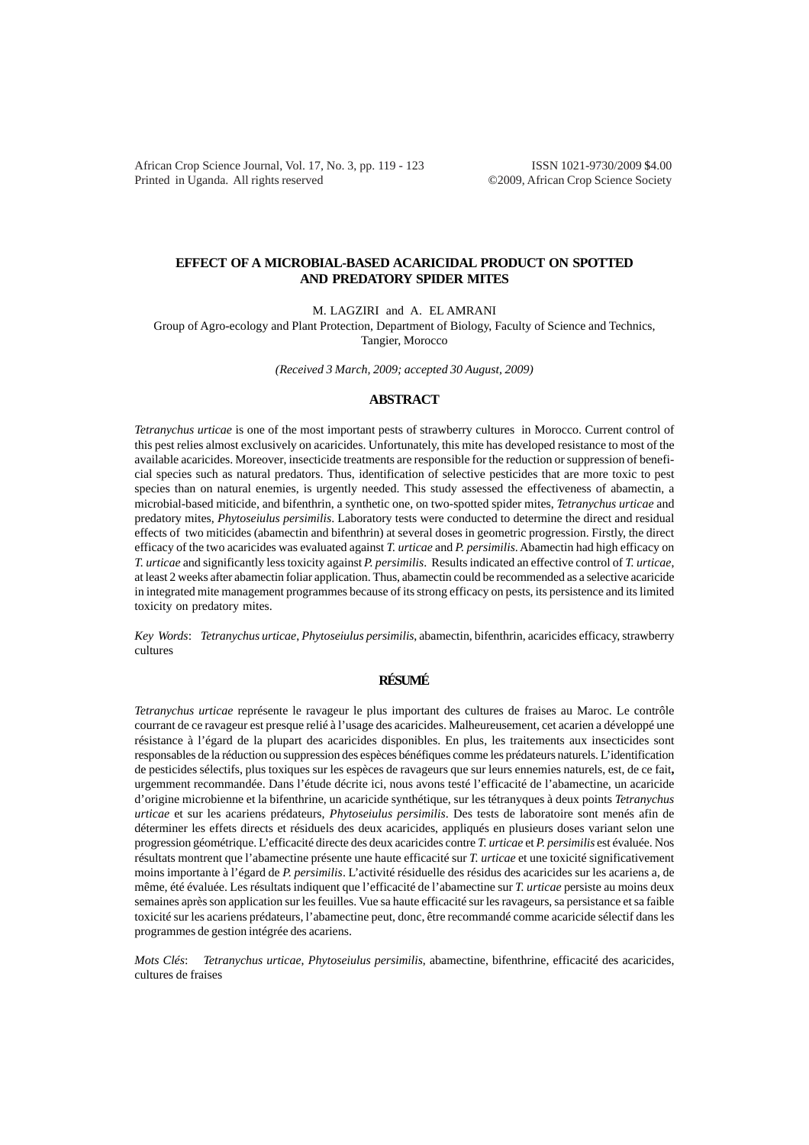African Crop Science Journal, Vol. 17, No. 3, pp. 119 - 123 ISSN 1021-9730/2009 \$4.00 Printed in Uganda. All rights reserved ©2009, African Crop Science Society

# **EFFECT OF A MICROBIAL-BASED ACARICIDAL PRODUCT ON SPOTTED AND PREDATORY SPIDER MITES**

M. LAGZIRI and A. EL AMRANI

Group of Agro-ecology and Plant Protection, Department of Biology, Faculty of Science and Technics, Tangier, Morocco

*(Received 3 March, 2009; accepted 30 August, 2009)*

## **ABSTRACT**

*Tetranychus urticae* is one of the most important pests of strawberry cultures in Morocco. Current control of this pest relies almost exclusively on acaricides. Unfortunately, this mite has developed resistance to most of the available acaricides. Moreover, insecticide treatments are responsible for the reduction or suppression of beneficial species such as natural predators. Thus, identification of selective pesticides that are more toxic to pest species than on natural enemies, is urgently needed. This study assessed the effectiveness of abamectin, a microbial-based miticide, and bifenthrin, a synthetic one, on two-spotted spider mites, *Tetranychus urticae* and predatory mites, *Phytoseiulus persimilis*. Laboratory tests were conducted to determine the direct and residual effects of two miticides (abamectin and bifenthrin) at several doses in geometric progression. Firstly, the direct efficacy of the two acaricides was evaluated against *T. urticae* and *P. persimilis*. Abamectin had high efficacy on *T. urticae* and significantly less toxicity against *P. persimilis*. Results indicated an effective control of *T. urticae*, at least 2 weeks after abamectin foliar application. Thus, abamectin could be recommended as a selective acaricide in integrated mite management programmes because of its strong efficacy on pests, its persistence and its limited toxicity on predatory mites.

*Key Words*: *Tetranychus urticae*, *Phytoseiulus persimilis*, abamectin, bifenthrin, acaricides efficacy, strawberry cultures

# **RÉSUMÉ**

*Tetranychus urticae* représente le ravageur le plus important des cultures de fraises au Maroc. Le contrôle courrant de ce ravageur est presque relié à l'usage des acaricides. Malheureusement, cet acarien a développé une résistance à l'égard de la plupart des acaricides disponibles. En plus, les traitements aux insecticides sont responsables de la réduction ou suppression des espèces bénéfiques comme les prédateurs naturels. L'identification de pesticides sélectifs, plus toxiques sur les espèces de ravageurs que sur leurs ennemies naturels, est, de ce fait**,** urgemment recommandée. Dans l'étude décrite ici, nous avons testé l'efficacité de l'abamectine, un acaricide d'origine microbienne et la bifenthrine, un acaricide synthétique, sur les tétranyques à deux points *Tetranychus urticae* et sur les acariens prédateurs, *Phytoseiulus persimilis*. Des tests de laboratoire sont menés afin de déterminer les effets directs et résiduels des deux acaricides, appliqués en plusieurs doses variant selon une progression géométrique. L'efficacité directe des deux acaricides contre *T. urticae* et *P. persimilis* est évaluée. Nos résultats montrent que l'abamectine présente une haute efficacité sur *T. urticae* et une toxicité significativement moins importante à l'égard de *P. persimilis*. L'activité résiduelle des résidus des acaricides sur les acariens a, de même, été évaluée. Les résultats indiquent que l'efficacité de l'abamectine sur *T. urticae* persiste au moins deux semaines après son application sur les feuilles. Vue sa haute efficacité sur les ravageurs, sa persistance et sa faible toxicité sur les acariens prédateurs, l'abamectine peut, donc, être recommandé comme acaricide sélectif dans les programmes de gestion intégrée des acariens.

*Mots Clés*: *Tetranychus urticae*, *Phytoseiulus persimilis*, abamectine, bifenthrine, efficacité des acaricides, cultures de fraises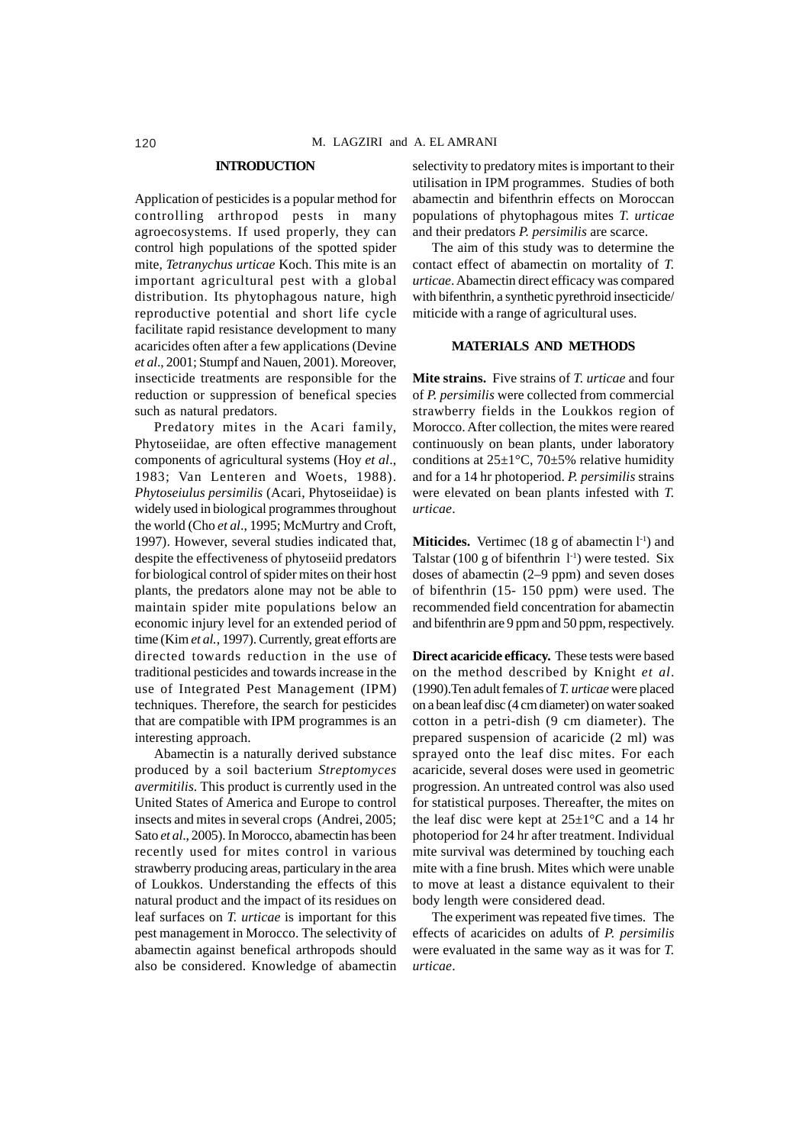#### **INTRODUCTION**

Application of pesticides is a popular method for controlling arthropod pests in many agroecosystems. If used properly, they can control high populations of the spotted spider mite, *Tetranychus urticae* Koch. This mite is an important agricultural pest with a global distribution. Its phytophagous nature, high reproductive potential and short life cycle facilitate rapid resistance development to many acaricides often after a few applications (Devine *et al*., 2001; Stumpf and Nauen, 2001). Moreover, insecticide treatments are responsible for the reduction or suppression of benefical species such as natural predators.

Predatory mites in the Acari family, Phytoseiidae, are often effective management components of agricultural systems (Hoy *et al*., 1983; Van Lenteren and Woets, 1988). *Phytoseiulus persimilis* (Acari, Phytoseiidae) is widely used in biological programmes throughout the world (Cho *et al*., 1995; McMurtry and Croft, 1997). However, several studies indicated that, despite the effectiveness of phytoseiid predators for biological control of spider mites on their host plants, the predators alone may not be able to maintain spider mite populations below an economic injury level for an extended period of time (Kim *et al.*, 1997). Currently, great efforts are directed towards reduction in the use of traditional pesticides and towards increase in the use of Integrated Pest Management (IPM) techniques. Therefore, the search for pesticides that are compatible with IPM programmes is an interesting approach.

Abamectin is a naturally derived substance produced by a soil bacterium *Streptomyces avermitilis*. This product is currently used in the United States of America and Europe to control insects and mites in several crops (Andrei, 2005; Sato *et al*., 2005). In Morocco, abamectin has been recently used for mites control in various strawberry producing areas, particulary in the area of Loukkos. Understanding the effects of this natural product and the impact of its residues on leaf surfaces on *T. urticae* is important for this pest management in Morocco. The selectivity of abamectin against benefical arthropods should also be considered. Knowledge of abamectin

selectivity to predatory mites is important to their utilisation in IPM programmes. Studies of both abamectin and bifenthrin effects on Moroccan populations of phytophagous mites *T. urticae* and their predators *P. persimilis* are scarce.

The aim of this study was to determine the contact effect of abamectin on mortality of *T. urticae*. Abamectin direct efficacy was compared with bifenthrin, a synthetic pyrethroid insecticide/ miticide with a range of agricultural uses.

### **MATERIALS AND METHODS**

**Mite strains.** Five strains of *T. urticae* and four of *P. persimilis* were collected from commercial strawberry fields in the Loukkos region of Morocco. After collection, the mites were reared continuously on bean plants, under laboratory conditions at  $25\pm1^{\circ}$ C,  $70\pm5\%$  relative humidity and for a 14 hr photoperiod. *P. persimilis* strains were elevated on bean plants infested with *T. urticae*.

**Miticides.** Vertimec (18 g of abamectin  $l^{-1}$ ) and Talstar (100 g of bifenthrin  $1<sup>-1</sup>$ ) were tested. Six doses of abamectin (2–9 ppm) and seven doses of bifenthrin (15- 150 ppm) were used. The recommended field concentration for abamectin and bifenthrin are 9 ppm and 50 ppm, respectively.

**Direct acaricide efficacy.** These tests were based on the method described by Knight *et al*. (1990).Ten adult females of *T. urticae* were placed on a bean leaf disc (4 cm diameter) on water soaked cotton in a petri-dish (9 cm diameter). The prepared suspension of acaricide (2 ml) was sprayed onto the leaf disc mites. For each acaricide, several doses were used in geometric progression. An untreated control was also used for statistical purposes. Thereafter, the mites on the leaf disc were kept at  $25\pm1$ °C and a 14 hr photoperiod for 24 hr after treatment. Individual mite survival was determined by touching each mite with a fine brush. Mites which were unable to move at least a distance equivalent to their body length were considered dead.

The experiment was repeated five times. The effects of acaricides on adults of *P. persimilis* were evaluated in the same way as it was for *T. urticae*.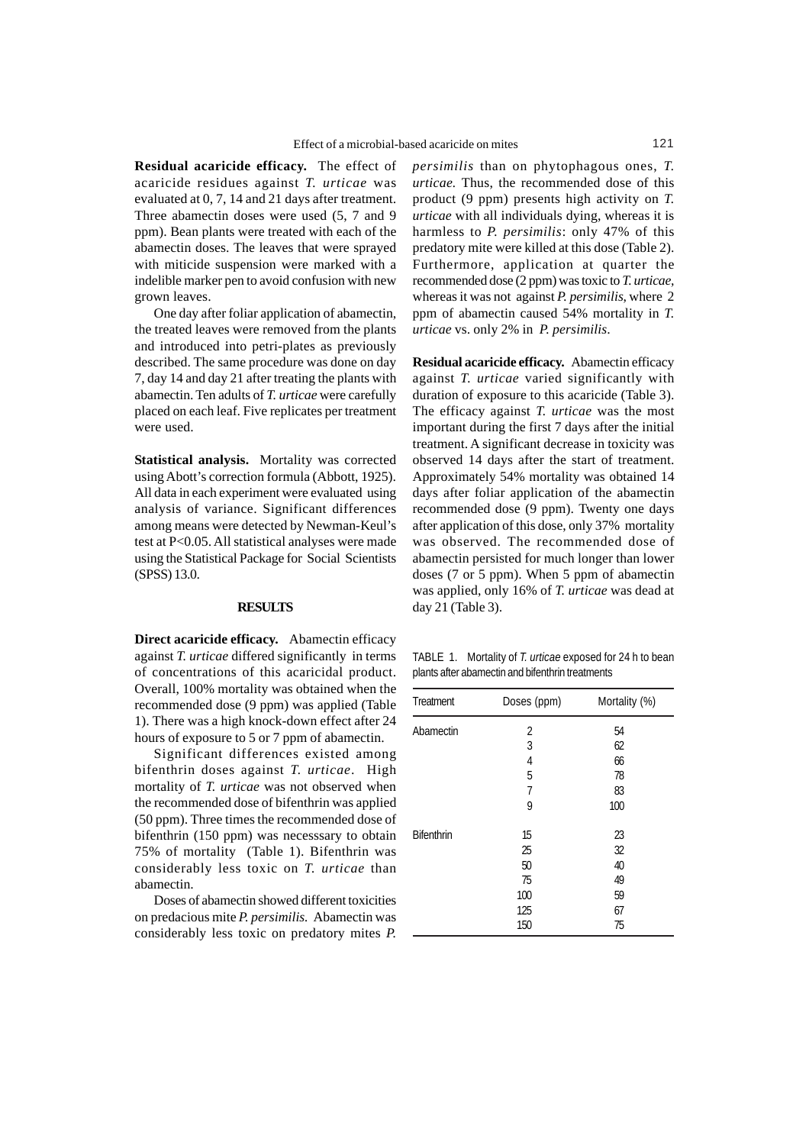**Residual acaricide efficacy.** The effect of acaricide residues against *T. urticae* was evaluated at 0, 7, 14 and 21 days after treatment. Three abamectin doses were used (5, 7 and 9 ppm). Bean plants were treated with each of the abamectin doses. The leaves that were sprayed with miticide suspension were marked with a indelible marker pen to avoid confusion with new grown leaves.

One day after foliar application of abamectin, the treated leaves were removed from the plants and introduced into petri-plates as previously described. The same procedure was done on day 7, day 14 and day 21 after treating the plants with abamectin. Ten adults of *T. urticae* were carefully placed on each leaf. Five replicates per treatment were used.

**Statistical analysis.** Mortality was corrected using Abott's correction formula (Abbott, 1925). All data in each experiment were evaluated using analysis of variance. Significant differences among means were detected by Newman-Keul's test at P<0.05. All statistical analyses were made using the Statistical Package for Social Scientists (SPSS) 13.0.

# **RESULTS**

**Direct acaricide efficacy.** Abamectin efficacy against *T. urticae* differed significantly in terms of concentrations of this acaricidal product. Overall, 100% mortality was obtained when the recommended dose (9 ppm) was applied (Table 1). There was a high knock-down effect after 24 hours of exposure to 5 or 7 ppm of abamectin.

Significant differences existed among bifenthrin doses against *T. urticae*. High mortality of *T. urticae* was not observed when the recommended dose of bifenthrin was applied (50 ppm). Three times the recommended dose of bifenthrin (150 ppm) was necesssary to obtain 75% of mortality (Table 1). Bifenthrin was considerably less toxic on *T. urticae* than abamectin.

Doses of abamectin showed different toxicities on predacious mite *P. persimilis.* Abamectin was considerably less toxic on predatory mites *P.*

*persimilis* than on phytophagous ones, *T. urticae.* Thus, the recommended dose of this product (9 ppm) presents high activity on *T. urticae* with all individuals dying, whereas it is harmless to *P. persimilis*: only 47% of this predatory mite were killed at this dose (Table 2). Furthermore, application at quarter the recommended dose (2 ppm) was toxic to *T. urticae,* whereas it was not against *P. persimilis*, where 2 ppm of abamectin caused 54% mortality in *T. urticae* vs. only 2% in *P. persimilis*.

**Residual acaricide efficacy.** Abamectin efficacy against *T. urticae* varied significantly with duration of exposure to this acaricide (Table 3). The efficacy against *T. urticae* was the most important during the first 7 days after the initial treatment. A significant decrease in toxicity was observed 14 days after the start of treatment. Approximately 54% mortality was obtained 14 days after foliar application of the abamectin recommended dose (9 ppm). Twenty one days after application of this dose, only 37% mortality was observed. The recommended dose of abamectin persisted for much longer than lower doses (7 or 5 ppm). When 5 ppm of abamectin was applied, only 16% of *T. urticae* was dead at day 21 (Table 3).

TABLE 1. Mortality of *T. urticae* exposed for 24 h to bean plants after abamectin and bifenthrin treatments

| Treatment         | Doses (ppm) | Mortality (%) |
|-------------------|-------------|---------------|
| Abamectin         | 2           | 54            |
|                   | 3           | 62            |
|                   | 4           | 66            |
|                   | 5           | 78            |
|                   | 7           | 83            |
|                   | 9           | 100           |
| <b>Bifenthrin</b> | 15          | 23            |
|                   | 25          | 32            |
|                   | 50          | 40            |
|                   | 75          | 49            |
|                   | 100         | 59            |
|                   | 125         | 67            |
|                   | 150         | 75            |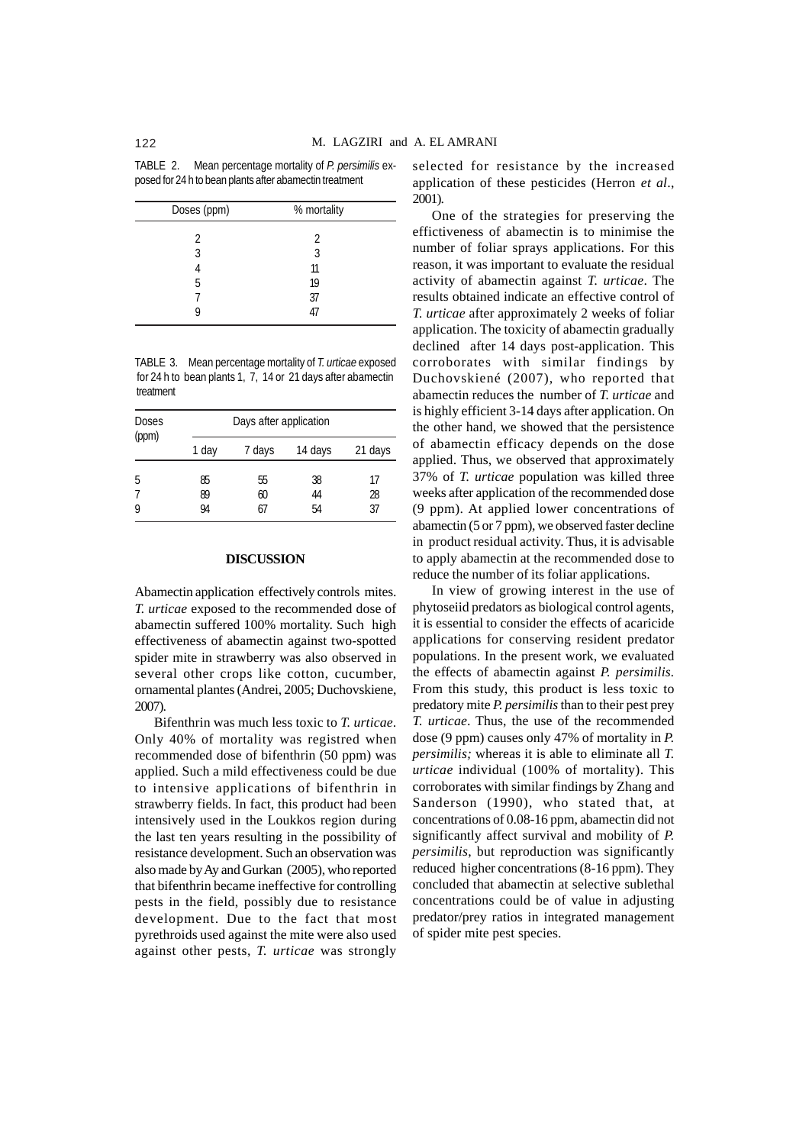TABLE 2. Mean percentage mortality of *P. persimilis* exposed for 24 h to bean plants after abamectin treatment

| Doses (ppm) | % mortality |  |
|-------------|-------------|--|
| 2           |             |  |
| ς           | 3           |  |
|             | 11          |  |
| 5           | 19          |  |
|             | 37          |  |
|             |             |  |

TABLE 3. Mean percentage mortality of *T. urticae* exposed for 24 h to bean plants 1, 7, 14 or 21 days after abamectin treatment

| Doses<br>(ppm) |       | Days after application |         |         |  |
|----------------|-------|------------------------|---------|---------|--|
|                | 1 day | 7 days                 | 14 days | 21 days |  |
| 5              | 85    | 55                     | 38      | 17      |  |
|                | 89    | 60                     | 44      | 28      |  |
|                | 94    | 67                     | 54      | 37      |  |

## **DISCUSSION**

Abamectin application effectively controls mites. *T. urticae* exposed to the recommended dose of abamectin suffered 100% mortality. Such high effectiveness of abamectin against two-spotted spider mite in strawberry was also observed in several other crops like cotton, cucumber, ornamental plantes (Andrei, 2005; Duchovskiene, 2007).

Bifenthrin was much less toxic to *T. urticae*. Only 40% of mortality was registred when recommended dose of bifenthrin (50 ppm) was applied. Such a mild effectiveness could be due to intensive applications of bifenthrin in strawberry fields. In fact, this product had been intensively used in the Loukkos region during the last ten years resulting in the possibility of resistance development. Such an observation was also made by Ay and Gurkan (2005), who reported that bifenthrin became ineffective for controlling pests in the field, possibly due to resistance development. Due to the fact that most pyrethroids used against the mite were also used against other pests, *T. urticae* was strongly

selected for resistance by the increased application of these pesticides (Herron *et al*., 2001).

One of the strategies for preserving the effictiveness of abamectin is to minimise the number of foliar sprays applications. For this reason, it was important to evaluate the residual activity of abamectin against *T. urticae*. The results obtained indicate an effective control of *T. urticae* after approximately 2 weeks of foliar application. The toxicity of abamectin gradually declined after 14 days post-application. This corroborates with similar findings by Duchovskiené (2007), who reported that abamectin reduces the number of *T. urticae* and is highly efficient 3-14 days after application. On the other hand, we showed that the persistence of abamectin efficacy depends on the dose applied. Thus, we observed that approximately 37% of *T. urticae* population was killed three weeks after application of the recommended dose (9 ppm). At applied lower concentrations of abamectin (5 or 7 ppm), we observed faster decline in product residual activity. Thus, it is advisable to apply abamectin at the recommended dose to reduce the number of its foliar applications.

In view of growing interest in the use of phytoseiid predators as biological control agents, it is essential to consider the effects of acaricide applications for conserving resident predator populations. In the present work, we evaluated the effects of abamectin against *P. persimilis.* From this study, this product is less toxic to predatory mite *P. persimilis* than to their pest prey *T. urticae*. Thus, the use of the recommended dose (9 ppm) causes only 47% of mortality in *P. persimilis;* whereas it is able to eliminate all *T. urticae* individual (100% of mortality). This corroborates with similar findings by Zhang and Sanderson (1990), who stated that, at concentrations of 0.08-16 ppm, abamectin did not significantly affect survival and mobility of *P. persimilis*, but reproduction was significantly reduced higher concentrations (8-16 ppm). They concluded that abamectin at selective sublethal concentrations could be of value in adjusting predator/prey ratios in integrated management of spider mite pest species.